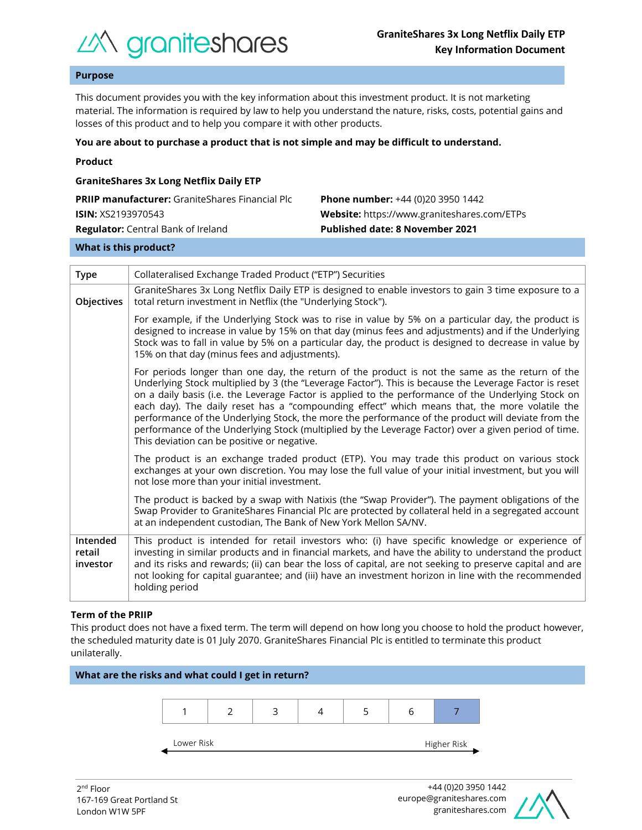

# **Purpose**

This document provides you with the key information about this investment product. It is not marketing material. The information is required by law to help you understand the nature, risks, costs, potential gains and losses of this product and to help you compare it with other products.

#### **You are about to purchase a product that is not simple and may be difficult to understand.**

|  | Product |  |
|--|---------|--|
|  |         |  |

| <b>GraniteShares 3x Long Netflix Daily ETP</b>         |                                                    |  |  |  |  |
|--------------------------------------------------------|----------------------------------------------------|--|--|--|--|
| <b>PRIIP manufacturer:</b> GraniteShares Financial Plc | <b>Phone number:</b> +44 (0)20 3950 1442           |  |  |  |  |
| <b>ISIN:</b> XS2193970543                              | <b>Website:</b> https://www.graniteshares.com/ETPs |  |  |  |  |
| <b>Regulator:</b> Central Bank of Ireland              | <b>Published date: 8 November 2021</b>             |  |  |  |  |
|                                                        |                                                    |  |  |  |  |

#### **What is this product?**

| <b>Type</b>                    | Collateralised Exchange Traded Product ("ETP") Securities                                                                                                                                                                                                                                                                                                                                                                                                                                                                                                                                                                                                                      |  |  |  |
|--------------------------------|--------------------------------------------------------------------------------------------------------------------------------------------------------------------------------------------------------------------------------------------------------------------------------------------------------------------------------------------------------------------------------------------------------------------------------------------------------------------------------------------------------------------------------------------------------------------------------------------------------------------------------------------------------------------------------|--|--|--|
| Objectives                     | GraniteShares 3x Long Netflix Daily ETP is designed to enable investors to gain 3 time exposure to a<br>total return investment in Netflix (the "Underlying Stock").                                                                                                                                                                                                                                                                                                                                                                                                                                                                                                           |  |  |  |
|                                | For example, if the Underlying Stock was to rise in value by 5% on a particular day, the product is<br>designed to increase in value by 15% on that day (minus fees and adjustments) and if the Underlying<br>Stock was to fall in value by 5% on a particular day, the product is designed to decrease in value by<br>15% on that day (minus fees and adjustments).                                                                                                                                                                                                                                                                                                           |  |  |  |
|                                | For periods longer than one day, the return of the product is not the same as the return of the<br>Underlying Stock multiplied by 3 (the "Leverage Factor"). This is because the Leverage Factor is reset<br>on a daily basis (i.e. the Leverage Factor is applied to the performance of the Underlying Stock on<br>each day). The daily reset has a "compounding effect" which means that, the more volatile the<br>performance of the Underlying Stock, the more the performance of the product will deviate from the<br>performance of the Underlying Stock (multiplied by the Leverage Factor) over a given period of time.<br>This deviation can be positive or negative. |  |  |  |
|                                | The product is an exchange traded product (ETP). You may trade this product on various stock<br>exchanges at your own discretion. You may lose the full value of your initial investment, but you will<br>not lose more than your initial investment.                                                                                                                                                                                                                                                                                                                                                                                                                          |  |  |  |
|                                | The product is backed by a swap with Natixis (the "Swap Provider"). The payment obligations of the<br>Swap Provider to GraniteShares Financial Plc are protected by collateral held in a segregated account<br>at an independent custodian, The Bank of New York Mellon SA/NV.                                                                                                                                                                                                                                                                                                                                                                                                 |  |  |  |
| Intended<br>retail<br>investor | This product is intended for retail investors who: (i) have specific knowledge or experience of<br>investing in similar products and in financial markets, and have the ability to understand the product<br>and its risks and rewards; (ii) can bear the loss of capital, are not seeking to preserve capital and are<br>not looking for capital guarantee; and (iii) have an investment horizon in line with the recommended<br>holding period                                                                                                                                                                                                                               |  |  |  |

## **Term of the PRIIP**

This product does not have a fixed term. The term will depend on how long you choose to hold the product however, the scheduled maturity date is 01 July 2070. GraniteShares Financial Plc is entitled to terminate this product unilaterally.



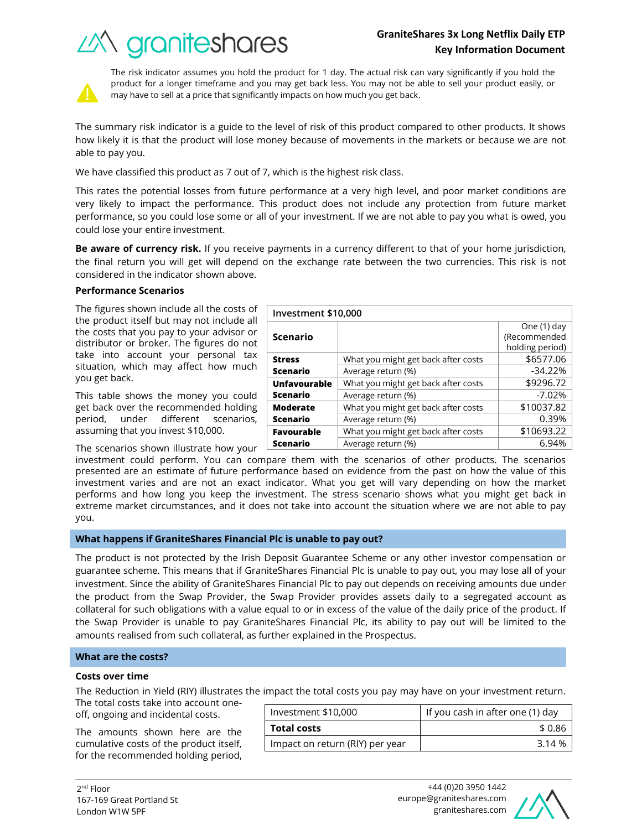# *industra de Segonies*

What you might get back after costs  $\sim$  \$6577.06 Average return (%) and the set of the set of the set of the set of the set of the set of the set of the set of the set of the set of the set of the set of the set of the set of the set of the set of the set of the set of t

What you might get back after costs  $\sim$  \$9296.72 Average return (%)  $-7.02\%$ 

What you might get back after costs  $\vert$  \$10037.82 Average return (%) and the control of the control of  $\sim 0.39\%$ 



The risk indicator assumes you hold the product for 1 day. The actual risk can vary significantly if you hold the product for a longer timeframe and you may get back less. You may not be able to sell your product easily, or may have to sell at a price that significantly impacts on how much you get back.

The summary risk indicator is a guide to the level of risk of this product compared to other products. It shows how likely it is that the product will lose money because of movements in the markets or because we are not able to pay you.

We have classified this product as 7 out of 7, which is the highest risk class.

This rates the potential losses from future performance at a very high level, and poor market conditions are very likely to impact the performance. This product does not include any protection from future market performance, so you could lose some or all of your investment. If we are not able to pay you what is owed, you could lose your entire investment.

**Be aware of currency risk.** If you receive payments in a currency different to that of your home jurisdiction, the final return you will get will depend on the exchange rate between the two currencies. This risk is not considered in the indicator shown above.

**Investment \$10,000**

**Scenario**

**Unfavourable Scenario**

**Moderate Scenario**

**Stress Scenario**

# **Performance Scenarios**

The figures shown include all the costs of the product itself but may not include all the costs that you pay to your advisor or distributor or broker. The figures do not take into account your personal tax situation, which may affect how much you get back.

This table shows the money you could get back over the recommended holding period, under different scenarios, assuming that you invest \$10,000.

The scenarios shown illustrate how your

investment could perform. You can compare them with the scenarios of other products. The scenarios presented are an estimate of future performance based on evidence from the past on how the value of this investment varies and are not an exact indicator. What you get will vary depending on how the market performs and how long you keep the investment. The stress scenario shows what you might get back in extreme market circumstances, and it does not take into account the situation where we are not able to pay you. **Favourable Scenario** What you might get back after costs  $\vert$  \$10693.22 Average return (%) and the set of the set of the 6.94%

# **What happens if GraniteShares Financial Plc is unable to pay out?**

The product is not protected by the Irish Deposit Guarantee Scheme or any other investor compensation or guarantee scheme. This means that if GraniteShares Financial Plc is unable to pay out, you may lose all of your investment. Since the ability of GraniteShares Financial Plc to pay out depends on receiving amounts due under the product from the Swap Provider, the Swap Provider provides assets daily to a segregated account as collateral for such obligations with a value equal to or in excess of the value of the daily price of the product. If the Swap Provider is unable to pay GraniteShares Financial Plc, its ability to pay out will be limited to the amounts realised from such collateral, as further explained in the Prospectus.

## **What are the costs?**

## **Costs over time**

The Reduction in Yield (RIY) illustrates the impact the total costs you pay may have on your investment return.

The total costs take into account oneoff, ongoing and incidental costs.

The amounts shown here are the cumulative costs of the product itself, for the recommended holding period,

| Investment \$10,000             | If you cash in after one (1) day |  |
|---------------------------------|----------------------------------|--|
| <b>Total costs</b>              | \$ 0.86                          |  |
| Impact on return (RIY) per year | 3 14 %                           |  |



One (1) day (Recommended holding period)